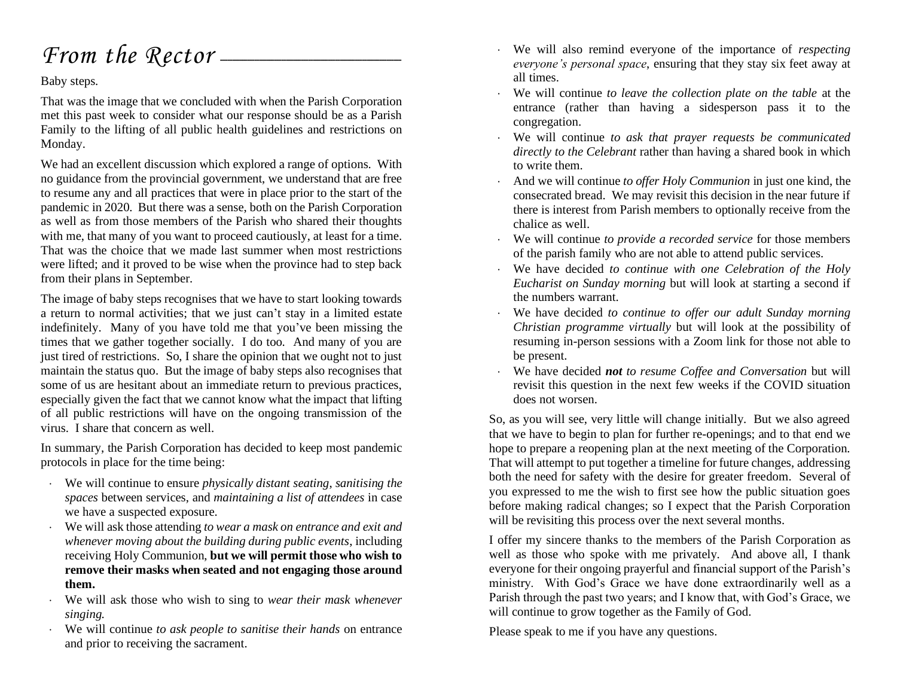## *From the Rector* –

Baby steps.

That was the image that we concluded with when the Parish Corporation met this past week to consider what our response should be as a Parish Family to the lifting of all public health guidelines and restrictions on Monday.

We had an excellent discussion which explored a range of options. With no guidance from the provincial government, we understand that are free to resume any and all practices that were in place prior to the start of the pandemic in 2020. But there was a sense, both on the Parish Corporation as well as from those members of the Parish who shared their thoughts with me, that many of you want to proceed cautiously, at least for a time. That was the choice that we made last summer when most restrictions were lifted; and it proved to be wise when the province had to step back from their plans in September.

The image of baby steps recognises that we have to start looking towards a return to normal activities; that we just can't stay in a limited estate indefinitely. Many of you have told me that you've been missing the times that we gather together socially. I do too. And many of you are just tired of restrictions. So, I share the opinion that we ought not to just maintain the status quo. But the image of baby steps also recognises that some of us are hesitant about an immediate return to previous practices, especially given the fact that we cannot know what the impact that lifting of all public restrictions will have on the ongoing transmission of the virus. I share that concern as well.

In summary, the Parish Corporation has decided to keep most pandemic protocols in place for the time being:

- We will continue to ensure *physically distant seating*, *sanitising the spaces* between services, and *maintaining a list of attendees* in case we have a suspected exposure.
- We will ask those attending *to wear a mask on entrance and exit and whenever moving about the building during public events*, including receiving Holy Communion, **but we will permit those who wish to remove their masks when seated and not engaging those around them.**
- We will ask those who wish to sing to *wear their mask whenever singing.*
- We will continue *to ask people to sanitise their hands* on entrance and prior to receiving the sacrament.
- We will also remind everyone of the importance of *respecting everyone's personal space*, ensuring that they stay six feet away at all times.
- We will continue *to leave the collection plate on the table* at the entrance (rather than having a sidesperson pass it to the congregation.
- We will continue *to ask that prayer requests be communicated directly to the Celebrant* rather than having a shared book in which to write them.
- And we will continue *to offer Holy Communion* in just one kind, the consecrated bread. We may revisit this decision in the near future if there is interest from Parish members to optionally receive from the chalice as well.
- We will continue *to provide a recorded service* for those members of the parish family who are not able to attend public services.
- We have decided *to continue with one Celebration of the Holy Eucharist on Sunday morning* but will look at starting a second if the numbers warrant.
- We have decided *to continue to offer our adult Sunday morning Christian programme virtually* but will look at the possibility of resuming in-person sessions with a Zoom link for those not able to be present.
- We have decided *not to resume Coffee and Conversation* but will revisit this question in the next few weeks if the COVID situation does not worsen.

So, as you will see, very little will change initially. But we also agreed that we have to begin to plan for further re-openings; and to that end we hope to prepare a reopening plan at the next meeting of the Corporation. That will attempt to put together a timeline for future changes, addressing both the need for safety with the desire for greater freedom. Several of you expressed to me the wish to first see how the public situation goes before making radical changes; so I expect that the Parish Corporation will be revisiting this process over the next several months.

I offer my sincere thanks to the members of the Parish Corporation as well as those who spoke with me privately. And above all, I thank everyone for their ongoing prayerful and financial support of the Parish's ministry. With God's Grace we have done extraordinarily well as a Parish through the past two years; and I know that, with God's Grace, we will continue to grow together as the Family of God.

Please speak to me if you have any questions.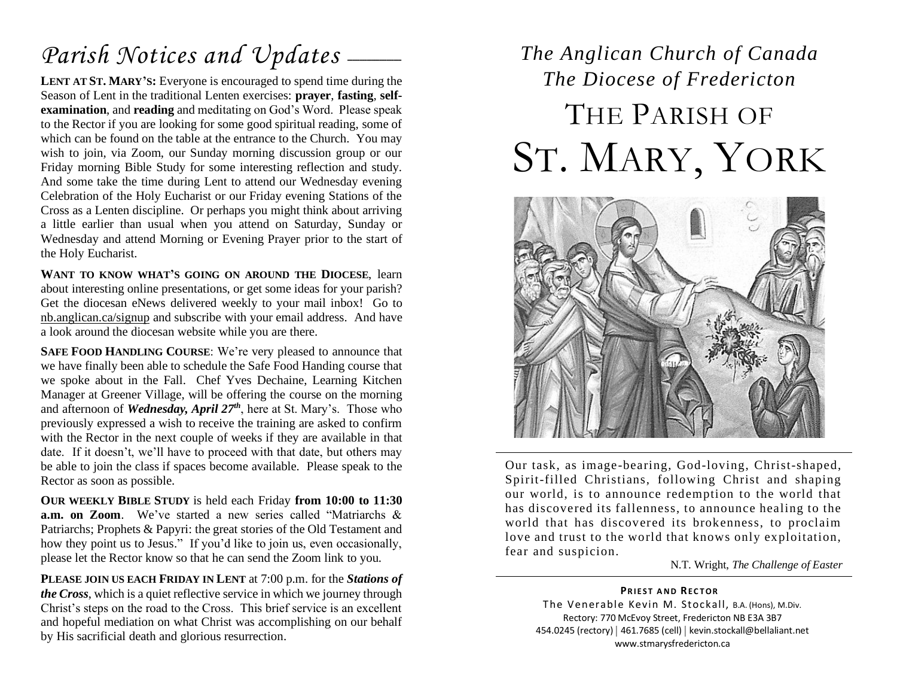## Parish Notices and Updates —

**LENT AT ST. MARY'S:** Everyone is encouraged to spend time during the Season of Lent in the traditional Lenten exercises: **prayer**, **fasting**, **selfexamination**, and **reading** and meditating on God's Word. Please speak to the Rector if you are looking for some good spiritual reading, some of which can be found on the table at the entrance to the Church. You may wish to join, via Zoom, our Sunday morning discussion group or our Friday morning Bible Study for some interesting reflection and study. And some take the time during Lent to attend our Wednesday evening Celebration of the Holy Eucharist or our Friday evening Stations of the Cross as a Lenten discipline. Or perhaps you might think about arriving a little earlier than usual when you attend on Saturday, Sunday or Wednesday and attend Morning or Evening Prayer prior to the start of the Holy Eucharist.

**WANT TO KNOW WHAT'S GOING ON AROUND THE DIOCESE**, learn about interesting online presentations, or get some ideas for your parish? Get the diocesan eNews delivered weekly to your mail inbox! Go to [nb.anglican.ca/signup](http://nb.anglican.ca/signup) and subscribe with your email address. And have a look around the diocesan website while you are there.

**SAFE FOOD HANDLING COURSE**: We're very pleased to announce that we have finally been able to schedule the Safe Food Handing course that we spoke about in the Fall. Chef Yves Dechaine, Learning Kitchen Manager at Greener Village, will be offering the course on the morning and afternoon of *Wednesday, April 27th*, here at St. Mary's. Those who previously expressed a wish to receive the training are asked to confirm with the Rector in the next couple of weeks if they are available in that date. If it doesn't, we'll have to proceed with that date, but others may be able to join the class if spaces become available. Please speak to the Rector as soon as possible.

**OUR WEEKLY BIBLE STUDY** is held each Friday **from 10:00 to 11:30 a.m. on Zoom.** We've started a new series called "Matriarchs & Patriarchs; Prophets & Papyri: the great stories of the Old Testament and how they point us to Jesus." If you'd like to join us, even occasionally, please let the Rector know so that he can send the Zoom link to you.

**PLEASE JOIN US EACH FRIDAY IN LENT** at 7:00 p.m. for the *Stations of the Cross*, which is a quiet reflective service in which we journey through Christ's steps on the road to the Cross. This brief service is an excellent and hopeful mediation on what Christ was accomplishing on our behalf by His sacrificial death and glorious resurrection.

## *The Anglican Church of Canada The Diocese of Fredericton* THE PARISH OF ST. MARY, YORK



Our task, as image-bearing, God-loving, Christ-shaped, Spirit-filled Christians, following Christ and shaping our world, is to announce redemption to the world that has discovered its fallenness, to announce healing to the world that has discovered its brokenness, to proclaim love and trust to the world that knows only exploitation, fear and suspicion.

N.T. Wright, *The Challenge of Easter*

#### **PRIEST AND RECTOR**

The Venerable Kevin M. Stockall, B.A. (Hons), M.Div. Rectory: 770 McEvoy Street, Fredericton NB E3A 3B7 454.0245 (rectory) | 461.7685 (cell) | kevin.stockall@bellaliant.net www.stmarysfredericton.ca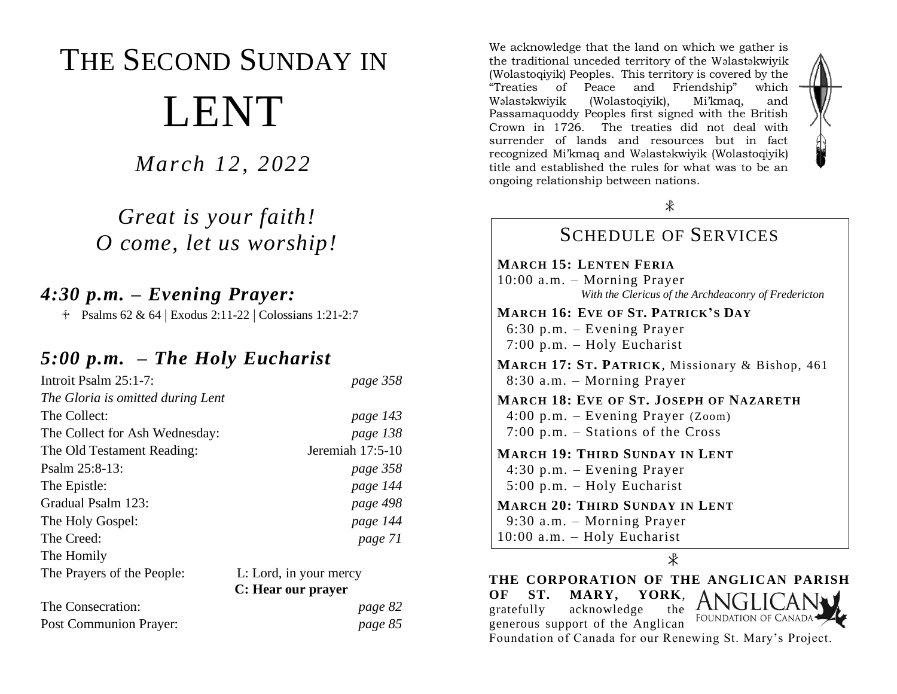# THE SECOND SUNDAY IN LENT

*March 12, 2022*

*Great is your faith! O come, let us worship!*

### *4:30 p.m. – Evening Prayer:*

 $\text{Psalms } 62 \& 64 |$  Exodus 2:11-22 | Colossians 1:21-2:7

### *5:00 p.m. – The Holy Eucharist*

| Introit Psalm 25:1-7:             | page 358               |
|-----------------------------------|------------------------|
| The Gloria is omitted during Lent |                        |
| The Collect:                      | page 143               |
| The Collect for Ash Wednesday:    | page 138               |
| The Old Testament Reading:        | Jeremiah 17:5-10       |
| Psalm $25:8-13$ :                 | page 358               |
| The Epistle:                      | page 144               |
| Gradual Psalm 123:                | page 498               |
| The Holy Gospel:                  | page 144               |
| The Creed:                        | page 71                |
| The Homily                        |                        |
| The Prayers of the People:        | L: Lord, in your mercy |
|                                   | C: Hear our prayer     |
| The Consecration:                 | page 82                |
| Post Communion Prayer:            | page 85                |

We acknowledge that the land on which we gather is the traditional unceded territory of the Wəlastəkwiyik (Wolastoqiyik) Peoples. This territory is covered by the "Treaties of Peace and Friendship" which Wəlastəkwiyik (Wolastoqiyik), Mi'kmaq, and Passamaquoddy Peoples first signed with the British Crown in 1726. The treaties did not deal with surrender of lands and resources but in fact recognized Mi'kmaq and Wəlastəkwiyik (Wolastoqiyik) title and established the rules for what was to be an ongoing relationship between nations.



#### SCHEDULE OF SERVICES **MARCH 15: LENTEN FERIA** 10:00 a.m. – Morning Prayer *With the Clericus of the Archdeaconry of Fredericton* **MARCH 16: EVE OF ST. PATRICK'S DAY** 6:30 p.m. – Evening Prayer 7:00 p.m. – Holy Eucharist **MARCH 17: ST. PATRICK**, Missionary & Bishop, 461 8:30 a.m. – Morning Prayer **MARCH 18: EVE OF ST. JOSEPH OF NAZARETH** 4:00 p.m. – Evening Prayer (Zoom) 7:00 p.m. – Stations of the Cross **MARCH 19: THIRD SUNDAY IN LENT** 4:30 p.m. – Evening Prayer 5:00 p.m. – Holy Eucharist **MARCH 20: THIRD SUNDAY IN LENT** 9:30 a.m. – Morning Prayer 10:00 a.m. – Holy Eucharist  $\ast$

**THE CORPORATION OF THE ANGLICAN PARISH OF ST. MARY, YORK**, gratefully acknowledge the **FOUNDATION OF CANADA◆** generous support of the Anglican Foundation of Canada for our Renewing St. Mary's Project.